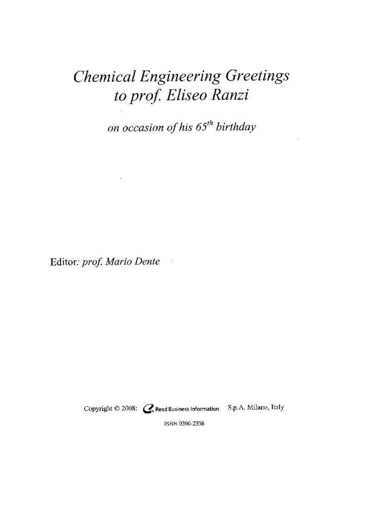# **Chemical Engineering Greetings** to prof. Eliseo Ranzi

on occasion of his 65<sup>th</sup> birthday

Editor: prof. Mario Dente  $\frac{1}{2}$ 

 $\sim 100$ 

Copyright © 2008: CReed Business Information S.p.A. Milano, Italy

ISBN 0390-2358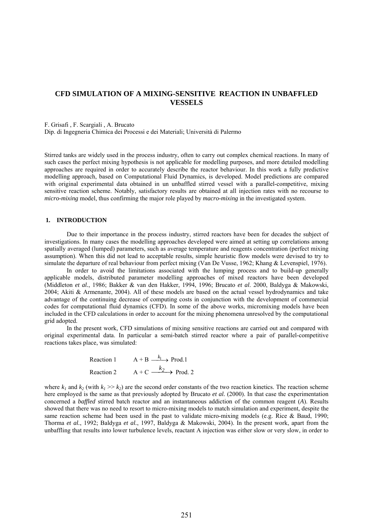# **CFD SIMULATION OF A MIXING-SENSITIVE REACTION IN UNBAFFLED VESSELS**

F. Grisafi , F. Scargiali , A. Brucato

Dip. di Ingegneria Chimica dei Processi e dei Materiali; Università di Palermo

Stirred tanks are widely used in the process industry, often to carry out complex chemical reactions. In many of such cases the perfect mixing hypothesis is not applicable for modelling purposes, and more detailed modelling approaches are required in order to accurately describe the reactor behaviour. In this work a fully predictive modelling approach, based on Computational Fluid Dynamics, is developed. Model predictions are compared with original experimental data obtained in un unbaffled stirred vessel with a parallel-competitive, mixing sensitive reaction scheme. Notably, satisfactory results are obtained at all injection rates with no recourse to *micro-mixing* model, thus confirming the major role played by *macro-mixing* in the investigated system.

#### **1. INTRODUCTION**

Due to their importance in the process industry, stirred reactors have been for decades the subject of investigations. In many cases the modelling approaches developed were aimed at setting up correlations among spatially averaged (lumped) parameters, such as average temperature and reagents concentration (perfect mixing assumption). When this did not lead to acceptable results, simple heuristic flow models were devised to try to simulate the departure of real behaviour from perfect mixing (Van De Vusse, 1962; Khang & Levenspiel, 1976).

In order to avoid the limitations associated with the lumping process and to build-up generally applicable models, distributed parameter modelling approaches of mixed reactors have been developed (Middleton *et al.*, 1986; Bakker & van den Hakker, 1994, 1996; Brucato *et al*. 2000, Baldyga & Makowski, 2004; Akiti & Armenante, 2004). All of these models are based on the actual vessel hydrodynamics and take advantage of the continuing decrease of computing costs in conjunction with the development of commercial codes for computational fluid dynamics (CFD). In some of the above works, micromixing models have been included in the CFD calculations in order to account for the mixing phenomena unresolved by the computational grid adopted.

In the present work, CFD simulations of mixing sensitive reactions are carried out and compared with original experimental data. In particular a semi-batch stirred reactor where a pair of parallel-competitive reactions takes place, was simulated:

Reaction 1

\n
$$
A + B \xrightarrow{k_1} \text{Prod.1}
$$
\nReaction 2

\n
$$
A + C \xrightarrow{k_2} \text{Prod.2}
$$

where  $k_1$  and  $k_2$  (with  $k_1 \gg k_2$ ) are the second order constants of the two reaction kinetics. The reaction scheme here employed is the same as that previously adopted by Brucato *et al.* (2000). In that case the experimentation concerned a *baffled* stirred batch reactor and an instantaneous addiction of the common reagent (*A*). Results showed that there was no need to resort to micro-mixing models to match simulation and experiment, despite the same reaction scheme had been used in the past to validate micro-mixing models (e.g. Rice & Baud, 1990; Thorma *et al.*, 1992; Baldyga *et al.*, 1997, Baldyga & Makowski, 2004). In the present work, apart from the unbaffling that results into lower turbulence levels, reactant A injection was either slow or very slow, in order to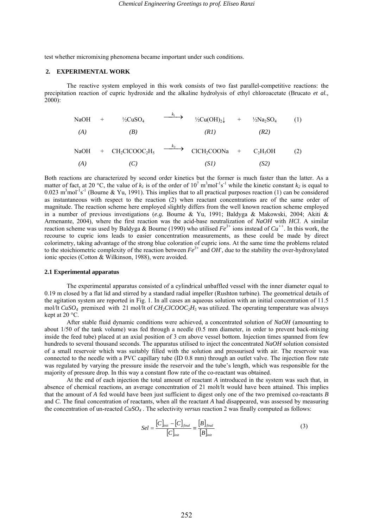test whether micromixing phenomena became important under such conditions.

#### **2. EXPERIMENTAL WORK**

The reactive system employed in this work consists of two fast parallel-competitive reactions: the precipitation reaction of cupric hydroxide and the alkaline hydrolysis of ethyl chloroacetate (Brucato *et al.,* 2000):

| NaOH | $+$ | $\frac{1}{2}CuSO_4$ | $\frac{k_1}{2}$ | $\frac{1}{2}Cu(OH)_2\downarrow$ | $+$ | $\frac{1}{2}Na_2SO_4$ | (1) |
|------|-----|---------------------|-----------------|---------------------------------|-----|-----------------------|-----|
| (A)  | (B) | (R1)                | (R2)            |                                 |     |                       |     |

NaOH + CH<sub>2</sub>CICOOC<sub>2</sub>H<sub>5</sub> 
$$
\xrightarrow{k_2}
$$
 CICH<sub>2</sub>COONa + C<sub>2</sub>H<sub>5</sub>OH (2)  
\n(A) (C) (SI) (S2)

Both reactions are characterized by second order kinetics but the former is much faster than the latter. As a matter of fact, at 20 °C, the value of  $k_l$  is of the order of  $10^7 \text{ m}^3 \text{mol}^{-1} \text{s}^{-1}$  while the kinetic constant  $k_2$  is equal to  $0.023 \text{ m}^3 \text{mol}^{-1} \text{s}^{-1}$  (Bourne & Yu, 1991). This implies that to all practical purposes reaction (1) can be considered as instantaneous with respect to the reaction (2) when reactant concentrations are of the same order of magnitude. The reaction scheme here employed slightly differs from the well known reaction scheme employed in a number of previous investigations (*e.g.* Bourne & Yu, 1991; Baldyga & Makowski, 2004; Akiti & Armenante, 2004), where the first reaction was the acid-base neutralization of *NaOH* with *HCl*. A similar reaction scheme was used by Baldyga & Bourne (1990) who utilised  $Fe^{3+}$  ions instead of  $Cu^{++}$ . In this work, the recourse to cupric ions leads to easier concentration measurements, as these could be made by direct colorimetry, taking advantage of the strong blue coloration of cupric ions. At the same time the problems related to the stoichiometric complexity of the reaction between  $Fe^{3+}$  and  $OH$ , due to the stability the over-hydroxylated ionic species (Cotton & Wilkinson, 1988), were avoided.

#### **2.1 Experimental apparatus**

The experimental apparatus consisted of a cylindrical unbaffled vessel with the inner diameter equal to 0.19 m closed by a flat lid and stirred by a standard radial impeller (Rushton turbine). The geometrical details of the agitation system are reported in Fig. 1. In all cases an aqueous solution with an initial concentration of 11.5 mol/lt *CuSO4* premixed with 21 mol/lt of *CH2ClCOOC2H5* was utilized. The operating temperature was always kept at 20 °C.

After stable fluid dynamic conditions were achieved, a concentrated solution of *NaOH* (amounting to about 1/50 of the tank volume) was fed through a needle (0.5 mm diameter, in order to prevent back-mixing inside the feed tube) placed at an axial position of 3 cm above vessel bottom. Injection times spanned from few hundreds to several thousand seconds. The apparatus utilised to inject the concentrated *NaOH* solution consisted of a small reservoir which was suitably filled with the solution and pressurised with air. The reservoir was connected to the needle with a PVC capillary tube (ID 0.8 mm) through an outlet valve. The injection flow rate was regulated by varying the pressure inside the reservoir and the tube's length, which was responsible for the majority of pressure drop. In this way a constant flow rate of the co-reactant was obtained.

 At the end of each injection the total amount of reactant *A* introduced in the system was such that, in absence of chemical reactions, an average concentration of 21 molt/lt would have been attained. This implies that the amount of *A* fed would have been just sufficient to digest only one of the two premixed co-reactants *B* and *C*. The final concentration of reactants, when all the reactant *A* had disappeared, was assessed by measuring the concentration of un-reacted *CuSO4* . The selectivity *versus* reaction 2 was finally computed as follows:

$$
Sel = \frac{[C]_{\text{init}} - [C]_{\text{final}}}{[C]_{\text{init}}} = \frac{[B]_{\text{final}}}{[B]_{\text{init}}}
$$
(3)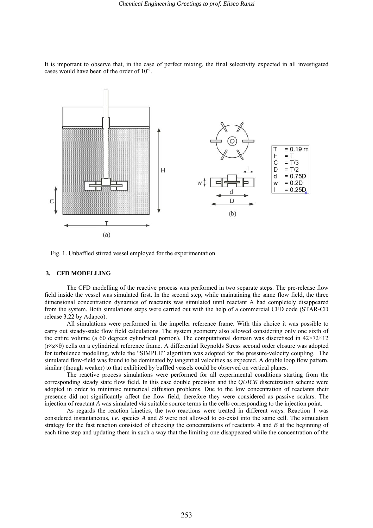It is important to observe that, in the case of perfect mixing, the final selectivity expected in all investigated cases would have been of the order of 10-8.



Fig. 1. Unbaffled stirred vessel employed for the experimentation

## **3. CFD MODELLING**

The CFD modelling of the reactive process was performed in two separate steps. The pre-release flow field inside the vessel was simulated first. In the second step, while maintaining the same flow field, the three dimensional concentration dynamics of reactants was simulated until reactant A had completely disappeared from the system. Both simulations steps were carried out with the help of a commercial CFD code (STAR-CD release 3.22 by Adapco).

All simulations were performed in the impeller reference frame. With this choice it was possible to carry out steady-state flow field calculations. The system geometry also allowed considering only one sixth of the entire volume (a 60 degrees cylindrical portion). The computational domain was discretised in  $42\times72\times12$ (r×z×θ) cells on a cylindrical reference frame. A differential Reynolds Stress second order closure was adopted for turbulence modelling, while the "SIMPLE" algorithm was adopted for the pressure-velocity coupling. The simulated flow-field was found to be dominated by tangential velocities as expected. A double loop flow pattern, similar (though weaker) to that exhibited by baffled vessels could be observed on vertical planes.

The reactive process simulations were performed for all experimental conditions starting from the corresponding steady state flow field. In this case double precision and the *QUICK* discretization scheme were adopted in order to minimise numerical diffusion problems. Due to the low concentration of reactants their presence did not significantly affect the flow field, therefore they were considered as passive scalars. The injection of reactant *A* was simulated *via* suitable source terms in the cells corresponding to the injection point.

As regards the reaction kinetics, the two reactions were treated in different ways. Reaction 1 was considered instantaneous, *i.e.* species *A* and *B* were not allowed to co-exist into the same cell. The simulation strategy for the fast reaction consisted of checking the concentrations of reactants *A* and *B* at the beginning of each time step and updating them in such a way that the limiting one disappeared while the concentration of the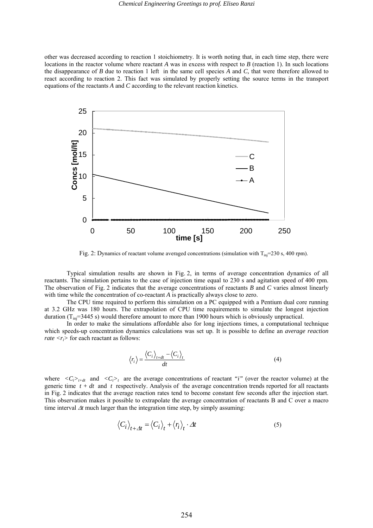other was decreased according to reaction 1 stoichiometry. It is worth noting that, in each time step, there were locations in the reactor volume where reactant *A* was in excess with respect to *B* (reaction 1). In such locations the disappearance of *B* due to reaction 1 left in the same cell species *A* and *C,* that were therefore allowed to react according to reaction 2. This fact was simulated by properly setting the source terms in the transport equations of the reactants *A* and *C* according to the relevant reaction kinetics.



Fig. 2: Dynamics of reactant volume averaged concentrations (simulation with  $T_{\text{ini}}$ =230 s, 400 rpm).

Typical simulation results are shown in Fig. 2, in terms of average concentration dynamics of all reactants. The simulation pertains to the case of injection time equal to 230 s and agitation speed of 400 rpm. The observation of Fig. 2 indicates that the average concentrations of reactants *B* and *C* varies almost linearly with time while the concentration of co-reactant *A* is practically always close to zero.

The CPU time required to perform this simulation on a PC equipped with a Pentium dual core running at 3.2 GHz was 180 hours. The extrapolation of CPU time requirements to simulate the longest injection duration  $(T_{\text{ini}}=3445 \text{ s})$  would therefore amount to more than 1900 hours which is obviously unpractical.

In order to make the simulations affordable also for long injections times, a computational technique which speeds-up concentration dynamics calculations was set up. It is possible to define an *average reaction rate*  $\langle r_i \rangle$  for each reactant as follows:

$$
\langle r_i \rangle = \frac{\langle C_i \rangle_{t+dt} - \langle C_i \rangle_t}{dt} \tag{4}
$$

where  $\langle C_i \rangle_{t+dt}$  and  $\langle C_i \rangle_t$  are the average concentrations of reactant *"i"* (over the reactor volume) at the generic time  $t + dt$  and  $t$  respectively. Analysis of the average concentration trends reported for all reactants in Fig. 2 indicates that the average reaction rates tend to become constant few seconds after the injection start. This observation makes it possible to extrapolate the average concentration of reactants B and C over a macro time interval ∆*t* much larger than the integration time step, by simply assuming:

$$
\left\langle C_i \right\rangle_{t + \Delta t} = \left\langle C_i \right\rangle_t + \left\langle r_i \right\rangle_t \cdot \Delta t \tag{5}
$$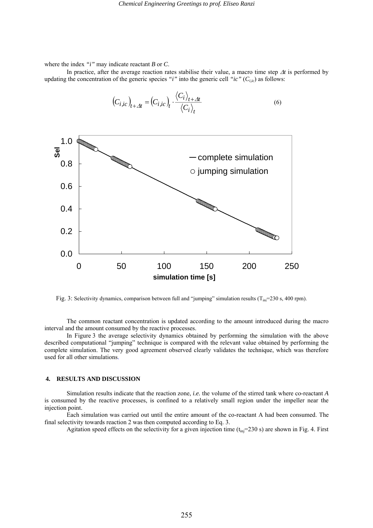where the index *"i"* may indicate reactant *B* or *C*.

In practice, after the average reaction rates stabilise their value, a macro time step ∆*t* is performed by updating the concentration of the generic species *"i"* into the generic cell *"ic"* ( $C_{i,ic}$ ) as follows:



$$
\left(C_{i,ic}\right)_{t+\Delta t} = \left(C_{i,ic}\right)_t \cdot \frac{\left\langle C_i\right\rangle_{t+\Delta t}}{\left\langle C_i\right\rangle_t} \tag{6}
$$

Fig. 3: Selectivity dynamics, comparison between full and "jumping" simulation results ( $T_{\text{in}}=230$  s, 400 rpm).

The common reactant concentration is updated according to the amount introduced during the macro interval and the amount consumed by the reactive processes.

In Figure 3 the average selectivity dynamics obtained by performing the simulation with the above described computational "jumping" technique is compared with the relevant value obtained by performing the complete simulation. The very good agreement observed clearly validates the technique, which was therefore used for all other simulations.

#### **4. RESULTS AND DISCUSSION**

Simulation results indicate that the reaction zone, *i.e.* the volume of the stirred tank where co-reactant *A* is consumed by the reactive processes, is confined to a relatively small region under the impeller near the injection point.

 Each simulation was carried out until the entire amount of the co-reactant A had been consumed. The final selectivity towards reaction 2 was then computed according to Eq. 3.

Agitation speed effects on the selectivity for a given injection time  $(t_{\text{ini}}=230 \text{ s})$  are shown in Fig. 4. First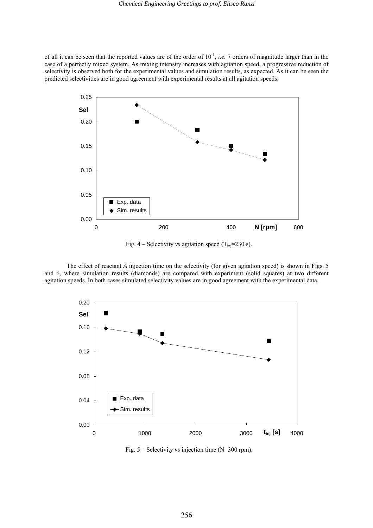of all it can be seen that the reported values are of the order of 10-1, *i.e.* 7 orders of magnitude larger than in the case of a perfectly mixed system. As mixing intensity increases with agitation speed, a progressive reduction of selectivity is observed both for the experimental values and simulation results, as expected. As it can be seen the predicted selectivities are in good agreement with experimental results at all agitation speeds.



Fig.  $4$  – Selectivity *vs* agitation speed (T<sub>inj</sub>=230 s).

The effect of reactant *A* injection time on the selectivity (for given agitation speed) is shown in Figs. 5 and 6, where simulation results (diamonds) are compared with experiment (solid squares) at two different agitation speeds. In both cases simulated selectivity values are in good agreement with the experimental data.



Fig. 5 – Selectivity *vs* injection time (N=300 rpm).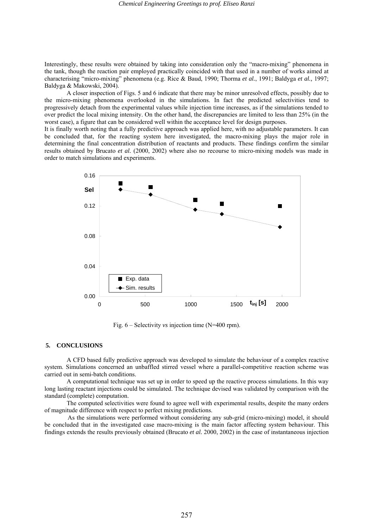Interestingly, these results were obtained by taking into consideration only the "macro-mixing" phenomena in the tank, though the reaction pair employed practically coincided with that used in a number of works aimed at characterising "micro-mixing" phenomena (e.g. Rice & Baud, 1990; Thorma *et al.*, 1991; Baldyga *et al.,* 1997; Baldyga & Makowski, 2004).

 A closer inspection of Figs. 5 and 6 indicate that there may be minor unresolved effects, possibly due to the micro-mixing phenomena overlooked in the simulations. In fact the predicted selectivities tend to progressively detach from the experimental values while injection time increases, as if the simulations tended to over predict the local mixing intensity. On the other hand, the discrepancies are limited to less than 25% (in the worst case), a figure that can be considered well within the acceptance level for design purposes.

It is finally worth noting that a fully predictive approach was applied here, with no adjustable parameters. It can be concluded that, for the reacting system here investigated, the macro-mixing plays the major role in determining the final concentration distribution of reactants and products. These findings confirm the similar results obtained by Brucato *et al.* (2000, 2002) where also no recourse to micro-mixing models was made in order to match simulations and experiments.



Fig. 6 – Selectivity *vs* injection time (N=400 rpm).

#### **5. CONCLUSIONS**

A CFD based fully predictive approach was developed to simulate the behaviour of a complex reactive system. Simulations concerned an unbaffled stirred vessel where a parallel-competitive reaction scheme was carried out in semi-batch conditions.

A computational technique was set up in order to speed up the reactive process simulations. In this way long lasting reactant injections could be simulated. The technique devised was validated by comparison with the standard (complete) computation.

The computed selectivities were found to agree well with experimental results, despite the many orders of magnitude difference with respect to perfect mixing predictions.

As the simulations were performed without considering any sub-grid (micro-mixing) model, it should be concluded that in the investigated case macro-mixing is the main factor affecting system behaviour. This findings extends the results previously obtained (Brucato *et al.* 2000, 2002) in the case of instantaneous injection